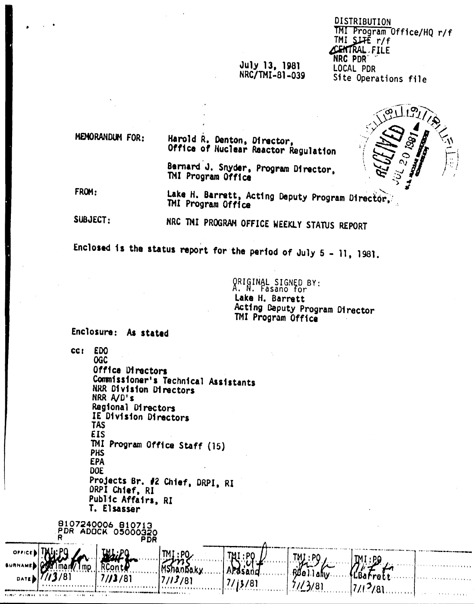### July 13, 1981 NRC/TMI-81-039

**DISTRIBUTION** TMI Program Office/HQ r/f  $TM$  SLIE  $r/f$ **CENTRAL, FILE** NRC PDR' LOCAL PDR Site Operations file

MEMORANDUM FOR:

Harold R. Denton, Director, Office of Nuclear Reactor Regulation

Bernard J. Snyder, Program Director, TMI Program Office

FROM:

Lake H. Barrett, Acting Deputy Program Director, TMI Program Office

SUBJECT: NRC TMI PROGRAM OFFICE WEEKLY STATUS REPORT

Enclosed is the status report for the period of July 5 - 11, 1981.

ORIGINAL SIGNED BY:<br>A. N. Fasano for Lake H. Barrett Acting Deputy Program Director TMI Program Office

ahıv . .

Enclosure: As stated

RCont

 $7/13/81$ 

**CCT** EDO **OGC** Office Directors Commissioner's Technical Assistants **NRR Division Directors** NRR A/D's Regional Directors IE Division Directors **TAS EIS** TMI Program Office Staff (15) **PHS EPA** DOE Projects Br. #2 Chief, DRPI, RI ORPI Chief, RI Public Affairs, RI T. Elsasser B107240006 B10713<br>PDR ADOCK 05000320 **PDR** TMI:PO

M5hanbaky

/81

 $7/13/81$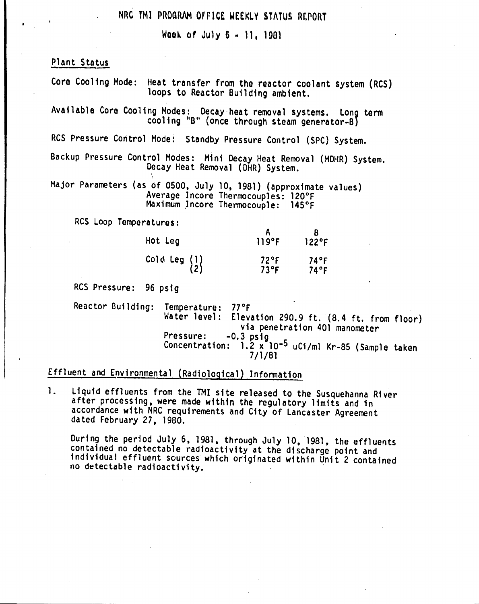### NRC TMI PROGRAM OFFICE WEEKLY STATUS REPORT

Wook of July  $5 - 11$ . 1981

Plant Status

Core Cooling Mode: Heat transfer from the reactor coolant system (ReS) loops to Reactor Building ambient.

Available Core Cooling Modes: Decay-heat removal systems. long term cooling "B" (once through steam generator-B)

RCS Pressure Control Mode: Standby Pressure Control (SPC) System.

Backup Pressure Control Modes: Mini Decay Heat Removal (MOHR) System. Decay Heat Removal (DHR) System.

Major Parameters (as of 0500, July 10, 1981) (approximate values) Average Incore Thermocouples: 120°F Maximum Incore Thermocouple: 145°F

Res loop Tomperatures:

\

| Hot Leg                                         | 119°F                     | 122°F        |
|-------------------------------------------------|---------------------------|--------------|
| Cold Leg $\begin{pmatrix} 1 \\ 2 \end{pmatrix}$ | $72^{\circ}$ F<br>$73$ °F | 74°F<br>74°F |

RCS Pressure: 96 psig

Reactor Building: Temperature: 77°F<br>Water level: Eleve Elevation 290.9 ft.  $(8.4 \text{ ft. from floor})$ via penetration 401 manometer<br>-0.3 psiq Pressure: -0.3 ps1g Concentration: 1.2 x 10-5 uCi/ml Kr-85 {Sample taken 7/1/81

# Effluent and Environmental (Radiological) Information

1. liquid effluents from the TMI site released to the Susquehanna River after processing, were made within the regulatory limits and in accordance with NRC requirements and City of Lancaster Agreement dated February 27, 1980.

During the period July 6, 1981, through July 10, 1981, the effluents contained no detectable radioactivity at the discharge point and individual effluent sources which originated within Unit 2 contained no detectable radioactivity.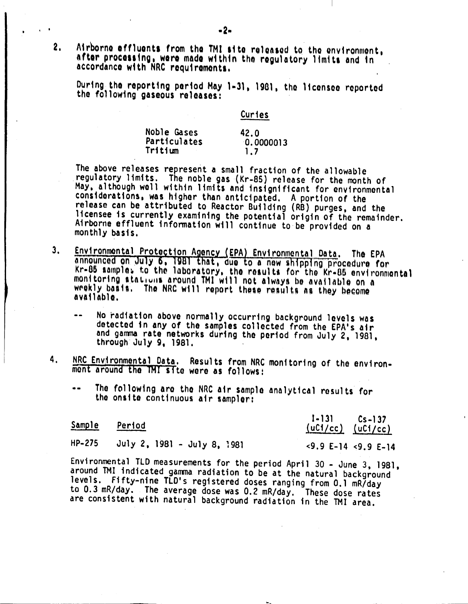$\mathbf{2.}$ Airborne effluents from the TMI site released to the environment, after processing, were made within the regulatory limits and in accordance with NRC requirements.

During the reporting period May 1-31, 1981, the licensee reported the following gaseous releases:

**Curies** 

| Noble Gases  | 42.0      |
|--------------|-----------|
| Particulates | 0.0000013 |
| Tritium      | 1.7       |

The above releases represent a small fraction of the allowable regulatory limits. The noble gas (Kr-85) release for the month of May, although well within limits and insignificant for environmental considerations, was higher than anticipated. A portion of the release can be attributed to Reactor Building (RB) purges, and the licensee is currently examining the potential origin of the remainder. Airborne effluent information will continue to be provided on a monthly basis.

- Environmental Protection Agency (EPA) Environmental Data. The EPA<br>announced on July 6, 1981 that, due to a new shipping procedure for<br>Kr-85 samples to the laboratory, the results for the Kr-85 environmental  $3<sub>1</sub>$ monitoring stations around TMI will not always be available on a weekly basis. The NRC will report these results as they become available.
	- No radiation above normally occurring background levels was detected in any of the samples collected from the EPA's air and gamma rate networks during the period from July 2, 1981, through July 9, 1981.
- NRC Environmental Data. Results from NRC monitoring of the environ-4. mont around the TMI site were as follows:
	- The following are the NRC air sample analytical results for  $\bullet$   $\bullet$ the onsite continuous air sampler:

| Sample | <u>Period</u>               | $1 - 131$ $Cs - 137$<br>$(uCl/cc)$ $(uCl/cc)$         |  |
|--------|-----------------------------|-------------------------------------------------------|--|
| HP-275 | July 2, 1981 - July 8, 1981 | $\langle 9.9 E-14 \rangle$ $\langle 9.9 E-14 \rangle$ |  |

Environmental TLD measurements for the period April 30 - June 3, 1981, around TMI indicated gamma radiation to be at the natural background levels. Fifty-nine TLD's registered doses ranging from 0.1 mR/day<br>to 0.3 mR/day. The average dose was 0.2 mR/day. These dose rates are consistent with natural background radiation in the TMI area.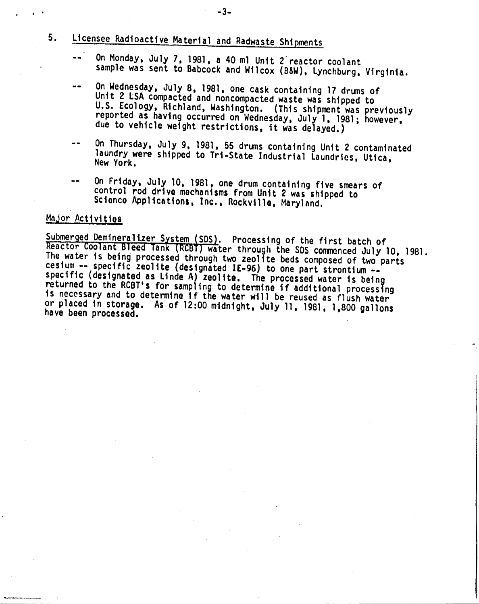- 5. Licensee Radioactive Material and Radwaste Shipments
	- On Monday, July 7, 1981, a 40 ml Unit 2'reactor coolant sample was sent to Babcock and Wilcox (B&W), Lynchburg, Virginia.
	- On Wednesday, July 8, 1981, one cask containing 17 drums of  $-1$ Unit 2 lSA compacted and noncompacted waste was shipped to U.S. Ecology, Richland, Washington. (This shipment was previously reported as having occurred on Wednesday, July 1, 1981, however, due to vehicle weight restrictions, it was delayed.)
	- On Thursday, July 9, 1,981, 55 drums containing Unit 2 contaminated  $\frac{1}{2}$ laundry were shipped to Tri-State Industrial Laundries, Utica,
	- On Friday, July 10, 1981, one drum containing five smears of control rod drive mechanisms from Unit 2 was shipped to Science Applications, Inc., Rockville, Maryland.

#### Major Activities

Submerged Demineralizer System (SDS). Processing of the first batch of Reactor Coolant Bleed Tank (RCBT) water through the SDS commenced July 10, 1981. The water is being processed through two zeolite beds composed of two parts cesium -- specific zeolite (designated IE-96) to one part strontium -specific (designated as Linde A) zeolite. The processed water is being returned to the RCBT's for sampling to determine if additional processing is necessary and to determine if the water will be reused as flush water or placed in storage. As of 12:00 midnight, July 11, 1981, 1,800 gallons have been processed.